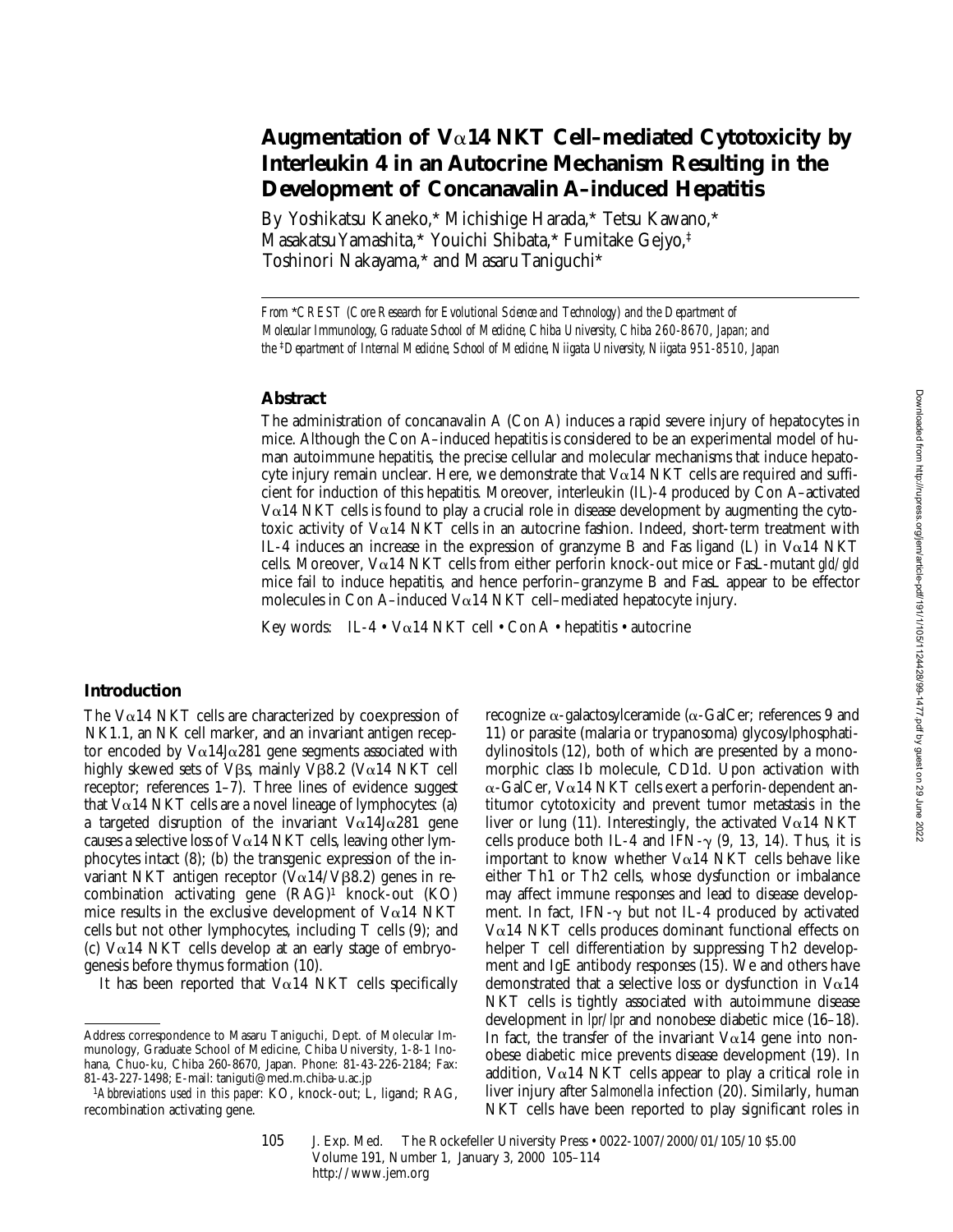# **Augmentation of V**a**14 NKT Cell–mediated Cytotoxicity by Interleukin 4 in an Autocrine Mechanism Resulting in the Development of Concanavalin A–induced Hepatitis**

By Yoshikatsu Kaneko,\* Michishige Harada,\* Tetsu Kawano,\* Masakatsu Yamashita,\* Youichi Shibata,\* Fumitake Gejyo,‡ Toshinori Nakayama,\* and Masaru Taniguchi\*

*From* \**CREST (Core Research for Evolutional Science and Technology) and the Department of Molecular Immunology, Graduate School of Medicine, Chiba University, Chiba 260-8670, Japan; and the* ‡*Department of Internal Medicine, School of Medicine, Niigata University, Niigata 951-8510, Japan*

#### **Abstract**

The administration of concanavalin A (Con A) induces a rapid severe injury of hepatocytes in mice. Although the Con A–induced hepatitis is considered to be an experimental model of human autoimmune hepatitis, the precise cellular and molecular mechanisms that induce hepatocyte injury remain unclear. Here, we demonstrate that  $V\alpha$ 14 NKT cells are required and sufficient for induction of this hepatitis. Moreover, interleukin (IL)-4 produced by Con A–activated  $V\alpha$ 14 NKT cells is found to play a crucial role in disease development by augmenting the cytotoxic activity of Va14 NKT cells in an autocrine fashion. Indeed, short-term treatment with IL-4 induces an increase in the expression of granzyme B and Fas ligand (L) in  $Va14$  NKT cells. Moreover, Va14 NKT cells from either perforin knock-out mice or FasL-mutant *gld/gld* mice fail to induce hepatitis, and hence perforin–granzyme B and FasL appear to be effector molecules in Con A–induced V $\alpha$ 14 NKT cell–mediated hepatocyte injury.

Key words: IL-4 •  $V\alpha$ 14 NKT cell • Con A • hepatitis • autocrine

# **Introduction**

The V $\alpha$ 14 NKT cells are characterized by coexpression of NK1.1, an NK cell marker, and an invariant antigen receptor encoded by  $V\alpha$ 14J $\alpha$ 281 gene segments associated with highly skewed sets of V $\beta$ s, mainly V $\beta$ 8.2 (V $\alpha$ 14 NKT cell receptor; references 1–7). Three lines of evidence suggest that  $V\alpha$ 14 NKT cells are a novel lineage of lymphocytes: (a) a targeted disruption of the invariant  $V\alpha$ 14J $\alpha$ 281 gene causes a selective loss of  $V\alpha$ 14 NKT cells, leaving other lymphocytes intact (8); (b) the transgenic expression of the invariant NKT antigen receptor  $(\bar{V}\alpha 14/\bar{V}\beta 8.2)$  genes in recombination activating gene (RAG)1 knock-out (KO) mice results in the exclusive development of  $Va14$  NKT cells but not other lymphocytes, including T cells (9); and (c)  $V\alpha$ 14 NKT cells develop at an early stage of embryogenesis before thymus formation (10).

It has been reported that  $Va14$  NKT cells specifically

recognize  $\alpha$ -galactosylceramide ( $\alpha$ -GalCer; references 9 and 11) or parasite (malaria or trypanosoma) glycosylphosphatidylinositols (12), both of which are presented by a monomorphic class Ib molecule, CD1d. Upon activation with  $\alpha$ -GalCer, V $\alpha$ 14 NKT cells exert a perforin-dependent antitumor cytotoxicity and prevent tumor metastasis in the liver or lung (11). Interestingly, the activated V $\alpha$ 14 NKT cells produce both IL-4 and IFN- $\gamma$  (9, 13, 14). Thus, it is important to know whether  $Va14$  NKT cells behave like either Th1 or Th2 cells, whose dysfunction or imbalance may affect immune responses and lead to disease development. In fact, IFN- $\gamma$  but not IL-4 produced by activated Va14 NKT cells produces dominant functional effects on helper T cell differentiation by suppressing Th<sub>2</sub> development and IgE antibody responses (15). We and others have demonstrated that a selective loss or dysfunction in  $V\alpha14$ NKT cells is tightly associated with autoimmune disease development in *lpr/lpr* and nonobese diabetic mice (16–18). In fact, the transfer of the invariant  $V\alpha$ 14 gene into nonobese diabetic mice prevents disease development (19). In addition,  $V\alpha$ 14 NKT cells appear to play a critical role in liver injury after *Salmonella* infection (20). Similarly, human NKT cells have been reported to play significant roles in

Address correspondence to Masaru Taniguchi, Dept. of Molecular Immunology, Graduate School of Medicine, Chiba University, 1-8-1 Inohana, Chuo-ku, Chiba 260-8670, Japan. Phone: 81-43-226-2184; Fax: 81-43-227-1498; E-mail: taniguti@med.m.chiba-u.ac.jp

<sup>&</sup>lt;sup>1</sup>Abbreviations used in this paper: KO, knock-out; L, ligand; RAG, recombination activating gene.

<sup>105</sup> J. Exp. Med. © The Rockefeller University Press • 0022-1007/2000/01/105/10 \$5.00 Volume 191, Number 1, January 3, 2000 105–114 http://www.jem.org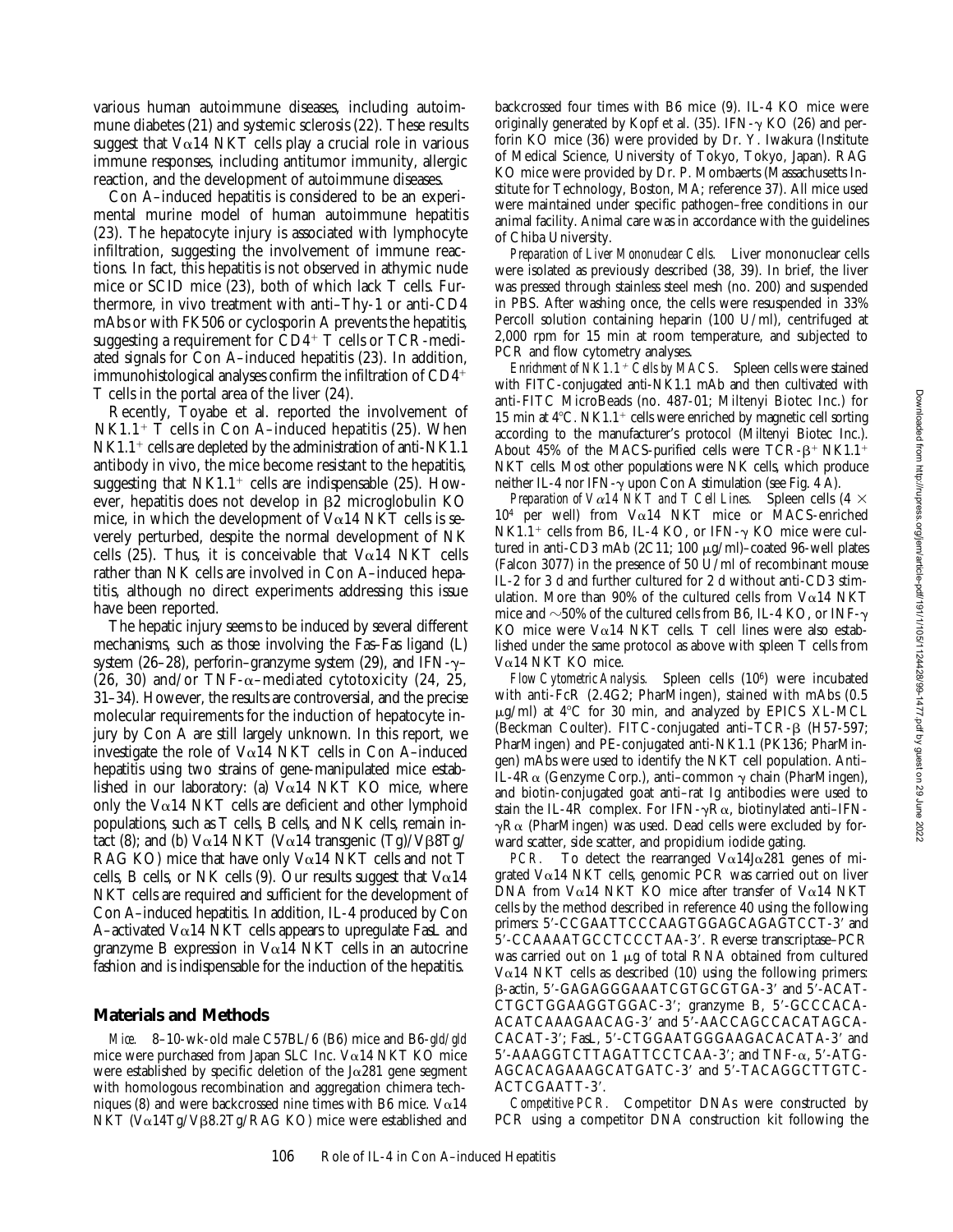various human autoimmune diseases, including autoimmune diabetes (21) and systemic sclerosis (22). These results suggest that  $Va14$  NKT cells play a crucial role in various immune responses, including antitumor immunity, allergic reaction, and the development of autoimmune diseases.

Con A–induced hepatitis is considered to be an experimental murine model of human autoimmune hepatitis (23). The hepatocyte injury is associated with lymphocyte infiltration, suggesting the involvement of immune reactions. In fact, this hepatitis is not observed in athymic nude mice or SCID mice (23), both of which lack T cells. Furthermore, in vivo treatment with anti–Thy-1 or anti-CD4 mAbs or with FK506 or cyclosporin A prevents the hepatitis, suggesting a requirement for  $CD4^+$  T cells or TCR-mediated signals for Con A–induced hepatitis (23). In addition, immunohistological analyses confirm the infiltration of  $CD4<sup>+</sup>$ T cells in the portal area of the liver (24).

Recently, Toyabe et al. reported the involvement of  $N<sub>K1.1+</sub>$  T cells in Con A–induced hepatitis (25). When  $NK1.1^+$  cells are depleted by the administration of anti-NK1.1 antibody in vivo, the mice become resistant to the hepatitis, suggesting that  $N<sub>K1.1+</sub>$  cells are indispensable (25). However, hepatitis does not develop in  $\beta$ 2 microglobulin KO mice, in which the development of  $Va14$  NKT cells is severely perturbed, despite the normal development of NK cells (25). Thus, it is conceivable that  $Va14$  NKT cells rather than NK cells are involved in Con A–induced hepatitis, although no direct experiments addressing this issue have been reported.

The hepatic injury seems to be induced by several different mechanisms, such as those involving the Fas–Fas ligand (L) system (26–28), perforin–granzyme system (29), and IFN- $\gamma$ – (26, 30) and/or TNF- $\alpha$ -mediated cytotoxicity (24, 25, 31–34). However, the results are controversial, and the precise molecular requirements for the induction of hepatocyte injury by Con A are still largely unknown. In this report, we investigate the role of Va14 NKT cells in Con A–induced hepatitis using two strains of gene-manipulated mice established in our laboratory: (a)  $V \alpha$ 14 NKT KO mice, where only the V $\alpha$ 14 NKT cells are deficient and other lymphoid populations, such as T cells, B cells, and NK cells, remain intact (8); and (b)  $V\alpha$ 14 NKT ( $V\alpha$ 14 transgenic (Tg)/V $\beta$ 8Tg/ RAG KO) mice that have only V $\alpha$ 14 NKT cells and not T cells, B cells, or NK cells (9). Our results suggest that  $V\alpha$ 14 NKT cells are required and sufficient for the development of Con A–induced hepatitis. In addition, IL-4 produced by Con A–activated V $\alpha$ 14 NKT cells appears to upregulate FasL and granzyme B expression in  $Va14$  NKT cells in an autocrine fashion and is indispensable for the induction of the hepatitis.

## **Materials and Methods**

*Mice.* 8–10-wk-old male C57BL/6 (B6) mice and B6-*gld/gld* mice were purchased from Japan SLC Inc. V $\alpha$ 14 NKT KO mice were established by specific deletion of the  $J\alpha$ 281 gene segment with homologous recombination and aggregation chimera techniques (8) and were backcrossed nine times with B6 mice.  $V\alpha$ 14 NKT (Vα14Tg/Vβ8.2Tg/RAG KO) mice were established and

backcrossed four times with B6 mice (9). IL-4 KO mice were originally generated by Kopf et al. (35). IFN- $\gamma$  KO (26) and perforin KO mice (36) were provided by Dr. Y. Iwakura (Institute of Medical Science, University of Tokyo, Tokyo, Japan). RAG KO mice were provided by Dr. P. Mombaerts (Massachusetts Institute for Technology, Boston, MA; reference 37). All mice used were maintained under specific pathogen–free conditions in our animal facility. Animal care was in accordance with the guidelines of Chiba University.

*Preparation of Liver Mononuclear Cells.* Liver mononuclear cells were isolated as previously described (38, 39). In brief, the liver was pressed through stainless steel mesh (no. 200) and suspended in PBS. After washing once, the cells were resuspended in 33% Percoll solution containing heparin (100 U/ml), centrifuged at 2,000 rpm for 15 min at room temperature, and subjected to PCR and flow cytometry analyses.

*Enrichment of NK1.1<sup>+</sup> Cells by MACS.* Spleen cells were stained with FITC-conjugated anti-NK1.1 mAb and then cultivated with anti-FITC MicroBeads (no. 487-01; Miltenyi Biotec Inc.) for 15 min at  $4^{\circ}$ C. NK1.1<sup>+</sup> cells were enriched by magnetic cell sorting according to the manufacturer's protocol (Miltenyi Biotec Inc.). About 45% of the MACS-purified cells were  $TCR-\beta+ NKL.1+$ NKT cells. Most other populations were NK cells, which produce neither IL-4 nor IFN- $\gamma$  upon Con A stimulation (see Fig. 4 A).

*Preparation of V* $\alpha$ *14 NKT and T Cell Lines.* Spleen cells (4  $\times$  $10<sup>4</sup>$  per well) from V $\alpha$ 14 NKT mice or MACS-enriched NK1.1<sup>+</sup> cells from B6, IL-4 KO, or IFN- $\gamma$  KO mice were cultured in anti-CD3 mAb (2C11; 100 mg/ml)–coated 96-well plates (Falcon 3077) in the presence of 50 U/ml of recombinant mouse IL-2 for 3 d and further cultured for 2 d without anti-CD3 stimulation. More than 90% of the cultured cells from  $Va14$  NKT mice and  $\sim$ 50% of the cultured cells from B6, IL-4 KO, or INF- $\gamma$ KO mice were V $\alpha$ 14 NKT cells. T cell lines were also established under the same protocol as above with spleen T cells from Va14 NKT KO mice.

*Flow Cytometric Analysis.* Spleen cells (106) were incubated with anti-FcR (2.4G2; PharMingen), stained with mAbs (0.5  $\mu$ g/ml) at 4°C for 30 min, and analyzed by EPICS XL-MCL (Beckman Coulter). FITC-conjugated anti–TCR-b (H57-597; PharMingen) and PE-conjugated anti-NK1.1 (PK136; PharMingen) mAbs were used to identify the NKT cell population. Anti– IL-4R $\alpha$  (Genzyme Corp.), anti–common  $\gamma$  chain (PharMingen), and biotin-conjugated goat anti–rat Ig antibodies were used to stain the IL-4R complex. For IFN- $\gamma$ R $\alpha$ , biotinylated anti–IFN- $\gamma R\alpha$  (PharMingen) was used. Dead cells were excluded by forward scatter, side scatter, and propidium iodide gating.

*PCR.* To detect the rearranged  $V \alpha 14J \alpha 281$  genes of migrated Va14 NKT cells, genomic PCR was carried out on liver DNA from V $\alpha$ 14 NKT KO mice after transfer of V $\alpha$ 14 NKT cells by the method described in reference 40 using the following primers: 5'-CCGAATTCCCAAGTGGAGCAGAGTCCT-3' and 5'-CCAAAATGCCTCCCTAA-3'. Reverse transcriptase-PCR was carried out on 1  $\mu$ g of total RNA obtained from cultured  $V\alpha$ 14 NKT cells as described (10) using the following primers:  $\beta$ -actin, 5'-GAGAGGGAAATCGTGCGTGA-3' and 5'-ACAT-CTGCTGGAAGGTGGAC-3'; granzyme B, 5'-GCCCACA-ACATCAAAGAACAG-3' and 5'-AACCAGCCACATAGCA-CACAT-3'; FasL, 5'-CTGGAATGGGAAGACACATA-3' and  $5'$ -AAAGGTCTTAGATTCCTCAA-3'; and TNF- $\alpha$ ,  $5'$ -ATG-AGCACAGAAAGCATGATC-3' and 5'-TACAGGCTTGTC-ACTCGAATT-3'.

*Competitive PCR.* Competitor DNAs were constructed by PCR using a competitor DNA construction kit following the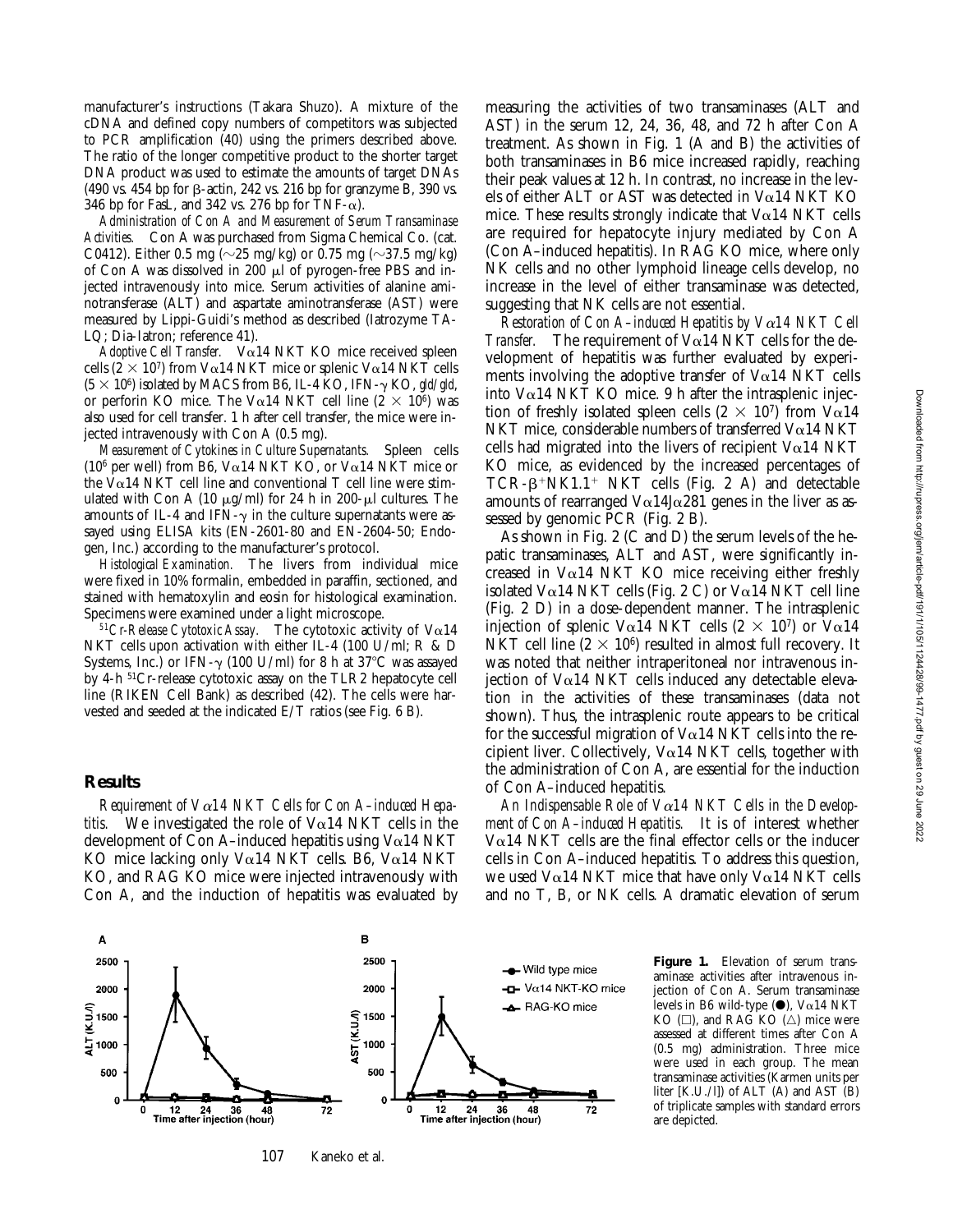manufacturer's instructions (Takara Shuzo). A mixture of the cDNA and defined copy numbers of competitors was subjected to PCR amplification (40) using the primers described above. The ratio of the longer competitive product to the shorter target DNA product was used to estimate the amounts of target DNAs  $(490 \text{ vs. } 454 \text{ bp}$  for  $\beta$ -actin, 242 vs. 216 bp for granzyme B, 390 vs. 346 bp for FasL, and 342 vs. 276 bp for TNF- $\alpha$ ).

*Administration of Con A and Measurement of Serum Transaminase Activities.* Con A was purchased from Sigma Chemical Co. (cat. C0412). Either 0.5 mg ( $\sim$ 25 mg/kg) or 0.75 mg ( $\sim$ 37.5 mg/kg) of Con A was dissolved in 200  $\mu$ l of pyrogen-free PBS and injected intravenously into mice. Serum activities of alanine aminotransferase (ALT) and aspartate aminotransferase (AST) were measured by Lippi-Guidi's method as described (Iatrozyme TA-LQ; Dia-Iatron; reference 41).

*Adoptive Cell Transfer.* Va14 NKT KO mice received spleen cells ( $2 \times 10^7$ ) from V $\alpha$ 14 NKT mice or splenic V $\alpha$ 14 NKT cells  $(5 \times 10^6)$  isolated by MACS from B6, IL-4 KO, IFN- $\gamma$  KO, gld/gld, or perforin KO mice. The V $\alpha$ 14 NKT cell line (2  $\times$  10<sup>6</sup>) was also used for cell transfer. 1 h after cell transfer, the mice were injected intravenously with Con A (0.5 mg).

*Measurement of Cytokines in Culture Supernatants.* Spleen cells (10<sup>6</sup> per well) from B6, V $\alpha$ 14 NKT KO, or V $\alpha$ 14 NKT mice or the  $V\alpha$ 14 NKT cell line and conventional T cell line were stimulated with Con A (10  $\mu$ g/ml) for 24 h in 200- $\mu$ l cultures. The amounts of IL-4 and IFN- $\gamma$  in the culture supernatants were assayed using ELISA kits (EN-2601-80 and EN-2604-50; Endogen, Inc.) according to the manufacturer's protocol.

*Histological Examination.* The livers from individual mice were fixed in 10% formalin, embedded in paraffin, sectioned, and stained with hematoxylin and eosin for histological examination. Specimens were examined under a light microscope.

 $51Cr$ -Release Cytotoxic Assay. The cytotoxic activity of  $V\alpha$ 14 NKT cells upon activation with either IL-4 (100 U/ml; R & D Systems, Inc.) or IFN- $\gamma$  (100 U/ml) for 8 h at 37°C was assayed by 4-h 51Cr-release cytotoxic assay on the TLR2 hepatocyte cell line (RIKEN Cell Bank) as described (42). The cells were harvested and seeded at the indicated E/T ratios (see Fig. 6 B).

#### **Results**

*Requirement of V*a*14 NKT Cells for Con A–induced Hepatitis.* We investigated the role of  $Va14$  NKT cells in the development of Con A–induced hepatitis using  $Va14$  NKT KO mice lacking only V $\alpha$ 14 NKT cells. B6, V $\alpha$ 14 NKT KO, and RAG KO mice were injected intravenously with Con A, and the induction of hepatitis was evaluated by measuring the activities of two transaminases (ALT and AST) in the serum 12, 24, 36, 48, and 72 h after Con A treatment. As shown in Fig. 1 (A and B) the activities of both transaminases in B6 mice increased rapidly, reaching their peak values at 12 h. In contrast, no increase in the levels of either ALT or AST was detected in Va14 NKT KO mice. These results strongly indicate that  $V\alpha$ 14 NKT cells are required for hepatocyte injury mediated by Con A (Con A–induced hepatitis). In RAG KO mice, where only NK cells and no other lymphoid lineage cells develop, no increase in the level of either transaminase was detected, suggesting that NK cells are not essential.

*Restoration of Con A–induced Hepatitis by V*a*14 NKT Cell Transfer.* The requirement of  $V\alpha$ 14 NKT cells for the development of hepatitis was further evaluated by experiments involving the adoptive transfer of  $V\alpha$ 14 NKT cells into  $V\alpha$ 14 NKT KO mice. 9 h after the intrasplenic injection of freshly isolated spleen cells  $(2 \times 10^7)$  from V $\alpha$ 14 NKT mice, considerable numbers of transferred  $V\alpha$ 14 NKT cells had migrated into the livers of recipient  $Va14$  NKT KO mice, as evidenced by the increased percentages of  $TCR - \beta + NK1.1 + NKT$  cells (Fig. 2 A) and detectable amounts of rearranged  $V\alpha$ 14J $\alpha$ 281 genes in the liver as assessed by genomic PCR (Fig. 2 B).

As shown in Fig. 2 (C and D) the serum levels of the hepatic transaminases, ALT and AST, were significantly increased in  $Va14$  NKT KO mice receiving either freshly isolated V $\alpha$ 14 NKT cells (Fig. 2 C) or V $\alpha$ 14 NKT cell line (Fig. 2 D) in a dose-dependent manner. The intrasplenic injection of splenic V $\alpha$ 14 NKT cells (2  $\times$  10<sup>7</sup>) or V $\alpha$ 14 NKT cell line  $(2 \times 10^6)$  resulted in almost full recovery. It was noted that neither intraperitoneal nor intravenous injection of  $Va14$  NKT cells induced any detectable elevation in the activities of these transaminases (data not shown). Thus, the intrasplenic route appears to be critical for the successful migration of  $V\alpha$ 14 NKT cells into the recipient liver. Collectively, V $\alpha$ 14 NKT cells, together with the administration of Con A, are essential for the induction of Con A–induced hepatitis.

*An Indispensable Role of V*a*14 NKT Cells in the Development of Con A–induced Hepatitis.* It is of interest whether  $V\alpha$ 14 NKT cells are the final effector cells or the inducer cells in Con A–induced hepatitis. To address this question, we used  $V\alpha$ 14 NKT mice that have only  $V\alpha$ 14 NKT cells and no T, B, or NK cells. A dramatic elevation of serum



**Figure 1.** Elevation of serum transaminase activities after intravenous injection of Con A. Serum transaminase levels in B6 wild-type  $(\bullet)$ , V $\alpha14$  NKT  $KO \n\Box$ ), and RAG KO  $(\triangle)$  mice were assessed at different times after Con A (0.5 mg) administration. Three mice were used in each group. The mean transaminase activities (Karmen units per liter [K.U./l]) of ALT (A) and AST (B) of triplicate samples with standard errors are depicted.

107 Kaneko et al.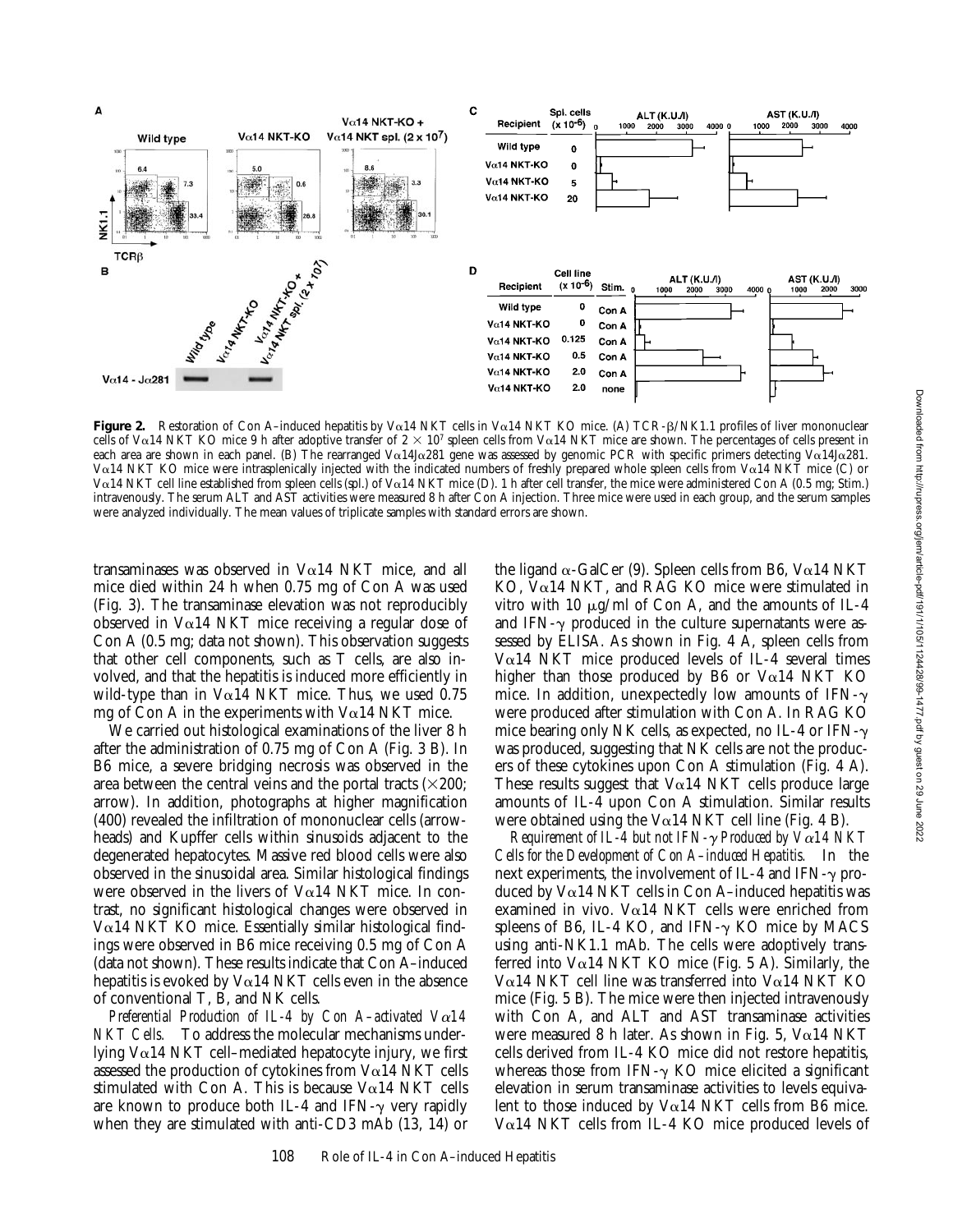

**Figure 2.** Restoration of Con A-induced hepatitis by Vα14 NKT cells in Vα14 NKT KO mice. (A) TCR-β/NK1.1 profiles of liver mononuclear cells of V $\alpha$ 14 NKT KO mice 9 h after adoptive transfer of  $2 \times 10^7$  spleen cells from V $\alpha$ 14 NKT mice are shown. The percentages of cells present in each area are shown in each panel. (B) The rearranged V $\alpha$ 14J $\alpha$ 281 gene was assessed by genomic PCR with specific primers detecting V $\alpha$ 14J $\alpha$ 281. Va14 NKT KO mice were intrasplenically injected with the indicated numbers of freshly prepared whole spleen cells from Va14 NKT mice (C) or V $\alpha$ 14 NKT cell line established from spleen cells (spl.) of V $\alpha$ 14 NKT mice (D). 1 h after cell transfer, the mice were administered Con A (0.5 mg; Stim.) intravenously. The serum ALT and AST activities were measured 8 h after Con A injection. Three mice were used in each group, and the serum samples were analyzed individually. The mean values of triplicate samples with standard errors are shown.

transaminases was observed in  $Va14$  NKT mice, and all mice died within 24 h when 0.75 mg of Con A was used (Fig. 3). The transaminase elevation was not reproducibly observed in  $V\alpha$ 14 NKT mice receiving a regular dose of Con A (0.5 mg; data not shown). This observation suggests that other cell components, such as T cells, are also involved, and that the hepatitis is induced more efficiently in wild-type than in V $\alpha$ 14 NKT mice. Thus, we used 0.75 mg of Con A in the experiments with  $Va14$  NKT mice.

We carried out histological examinations of the liver 8 h after the administration of 0.75 mg of Con A (Fig. 3 B). In B6 mice, a severe bridging necrosis was observed in the area between the central veins and the portal tracts  $(\times 200;$ arrow). In addition, photographs at higher magnification (400) revealed the infiltration of mononuclear cells (arrowheads) and Kupffer cells within sinusoids adjacent to the degenerated hepatocytes. Massive red blood cells were also observed in the sinusoidal area. Similar histological findings were observed in the livers of  $V\alpha$ 14 NKT mice. In contrast, no significant histological changes were observed in  $V\alpha$ 14 NKT KO mice. Essentially similar histological findings were observed in B6 mice receiving 0.5 mg of Con A (data not shown). These results indicate that Con A–induced hepatitis is evoked by  $Va14$  NKT cells even in the absence of conventional T, B, and NK cells.

*Preferential Production of IL-4 by Con A–activated V*a*14 NKT Cells.* To address the molecular mechanisms underlying  $V\alpha$ 14 NKT cell–mediated hepatocyte injury, we first assessed the production of cytokines from  $Va14$  NKT cells stimulated with Con A. This is because  $V\alpha$ 14 NKT cells are known to produce both IL-4 and IFN- $\gamma$  very rapidly when they are stimulated with anti-CD3 mAb (13, 14) or the ligand  $\alpha$ -GalCer (9). Spleen cells from B6, V $\alpha$ 14 NKT  $KO$ ,  $Va14$  NKT, and RAG KO mice were stimulated in vitro with 10  $\mu$ g/ml of Con A, and the amounts of IL-4 and IFN- $\gamma$  produced in the culture supernatants were assessed by ELISA. As shown in Fig. 4 A, spleen cells from V $\alpha$ 14 NKT mice produced levels of IL-4 several times higher than those produced by B6 or  $Va14$  NKT KO mice. In addition, unexpectedly low amounts of IFN- $\gamma$ were produced after stimulation with Con A. In RAG KO mice bearing only NK cells, as expected, no IL-4 or IFN- $\gamma$ was produced, suggesting that NK cells are not the producers of these cytokines upon Con A stimulation (Fig. 4 A). These results suggest that  $V\alpha$ 14 NKT cells produce large amounts of IL-4 upon Con A stimulation. Similar results were obtained using the  $V\alpha$ 14 NKT cell line (Fig. 4 B).

*Requirement of IL-4 but not IFN-*g *Produced by V*a*14 NKT Cells for the Development of Con A–induced Hepatitis.* In the next experiments, the involvement of IL-4 and IFN- $\gamma$  produced by  $V\alpha$ 14 NKT cells in Con A-induced hepatitis was examined in vivo. V $\alpha$ 14 NKT cells were enriched from spleens of B6, IL-4 KO, and IFN- $\gamma$  KO mice by MACS using anti-NK1.1 mAb. The cells were adoptively transferred into  $Va14$  NKT KO mice (Fig. 5 A). Similarly, the  $V\alpha$ 14 NKT cell line was transferred into  $V\alpha$ 14 NKT KO mice (Fig. 5 B). The mice were then injected intravenously with Con A, and ALT and AST transaminase activities were measured 8 h later. As shown in Fig. 5,  $V\alpha$ 14 NKT cells derived from IL-4 KO mice did not restore hepatitis, whereas those from IFN- $\gamma$  KO mice elicited a significant elevation in serum transaminase activities to levels equivalent to those induced by V $\alpha$ 14 NKT cells from B6 mice. V $\alpha$ 14 NKT cells from IL-4 KO mice produced levels of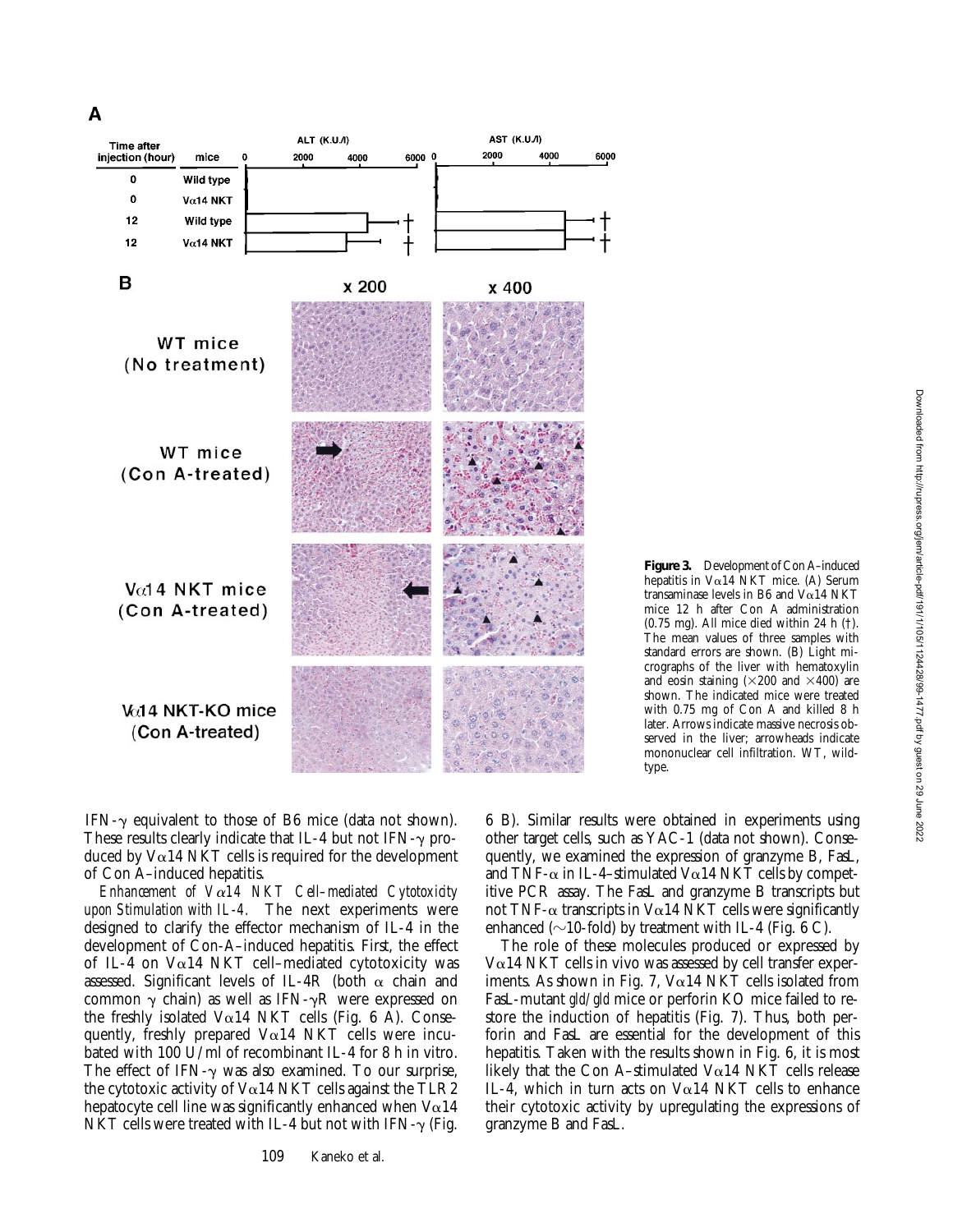

**Figure 3.** Development of Con A–induced hepatitis in  $V\alpha$ 14 NKT mice. (A) Serum transaminase levels in B6 and  $V\alpha$ 14 NKT mice 12 h after Con A administration (0.75 mg). All mice died within 24 h (†). The mean values of three samples with standard errors are shown. (B) Light micrographs of the liver with hematoxylin and eosin staining  $(\times 200$  and  $\times 400)$  are shown. The indicated mice were treated with 0.75 mg of Con A and killed 8 h later. Arrows indicate massive necrosis observed in the liver; arrowheads indicate mononuclear cell infiltration. WT, wildtype.

IFN- $\gamma$  equivalent to those of B6 mice (data not shown). These results clearly indicate that IL-4 but not IFN- $\gamma$  produced by  $Va14$  NKT cells is required for the development of Con A–induced hepatitis.

*Enhancement of V*a*14 NKT Cell–mediated Cytotoxicity upon Stimulation with IL-4.* The next experiments were designed to clarify the effector mechanism of IL-4 in the development of Con-A–induced hepatitis. First, the effect of IL-4 on  $Va14$  NKT cell–mediated cytotoxicity was assessed. Significant levels of IL-4R (both  $\alpha$  chain and common  $\gamma$  chain) as well as IFN- $\gamma$ R were expressed on the freshly isolated  $V\alpha$ 14 NKT cells (Fig. 6 A). Consequently, freshly prepared  $V\alpha$ 14 NKT cells were incubated with 100 U/ml of recombinant IL-4 for 8 h in vitro. The effect of IFN- $\gamma$  was also examined. To our surprise, the cytotoxic activity of  $Va14$  NKT cells against the TLR2 hepatocyte cell line was significantly enhanced when  $V\alpha14$ NKT cells were treated with IL-4 but not with IFN- $\gamma$  (Fig.

6 B). Similar results were obtained in experiments using other target cells, such as YAC-1 (data not shown). Consequently, we examined the expression of granzyme B, FasL, and TNF- $\alpha$  in IL-4-stimulated V $\alpha$ 14 NKT cells by competitive PCR assay. The FasL and granzyme B transcripts but not TNF- $\alpha$  transcripts in V $\alpha$ 14 NKT cells were significantly enhanced ( $\sim$ 10-fold) by treatment with IL-4 (Fig. 6 C).

The role of these molecules produced or expressed by  $V\alpha$ 14 NKT cells in vivo was assessed by cell transfer experiments. As shown in Fig. 7,  $V\alpha$ 14 NKT cells isolated from FasL-mutant *gld/gld* mice or perforin KO mice failed to restore the induction of hepatitis (Fig. 7). Thus, both perforin and FasL are essential for the development of this hepatitis. Taken with the results shown in Fig. 6, it is most likely that the Con A–stimulated  $Va14$  NKT cells release IL-4, which in turn acts on V $\alpha$ 14 NKT cells to enhance their cytotoxic activity by upregulating the expressions of granzyme B and FasL.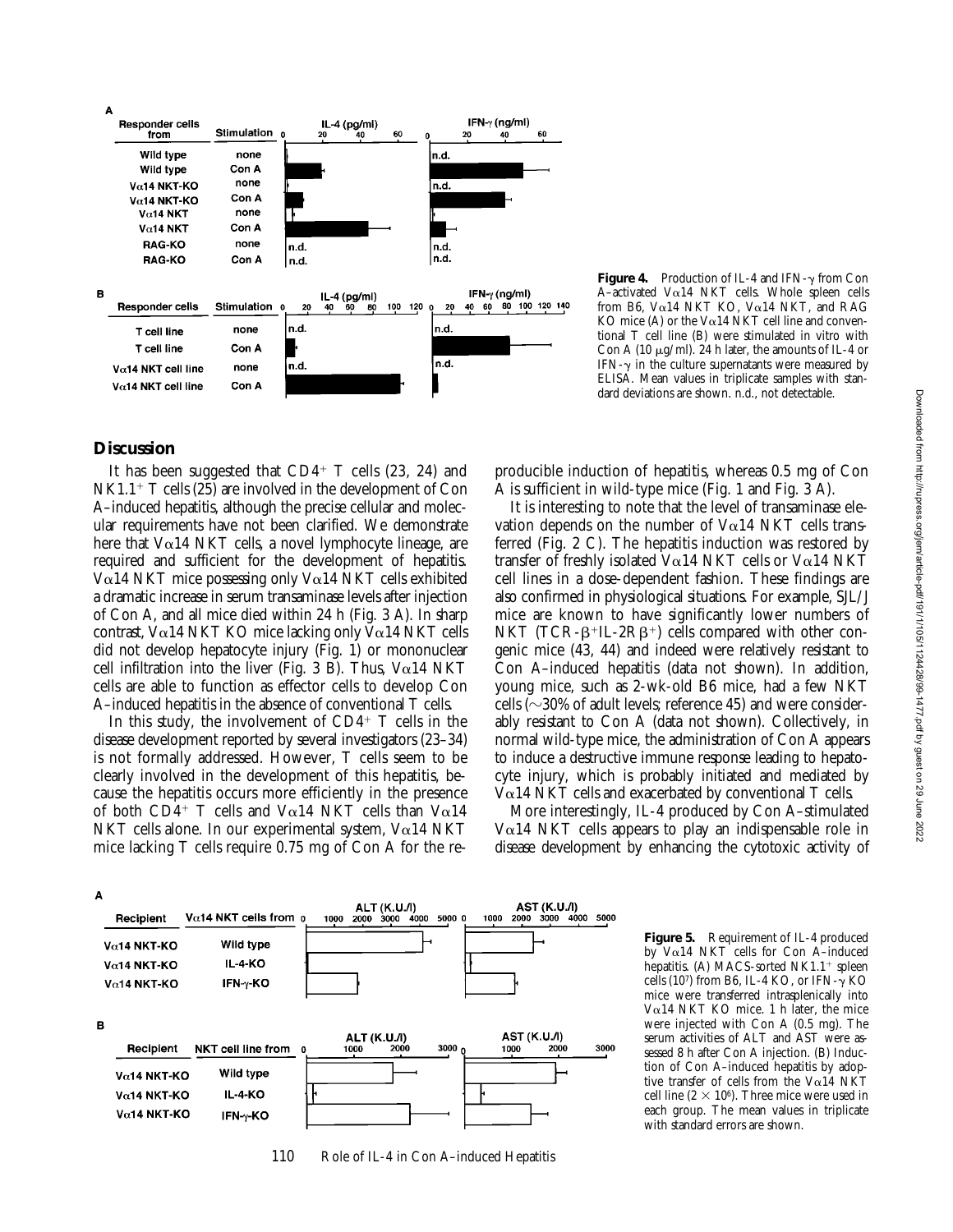

**Figure 4.** Production of IL-4 and IFN- $\gamma$  from Con A-activated V $\alpha$ 14 NKT cells. Whole spleen cells from B6, V $\alpha$ 14 NKT KO, V $\alpha$ 14 NKT, and RAG KO mice (A) or the V $\alpha$ 14 NKT cell line and conventional T cell line (B) were stimulated in vitro with Con A (10  $\mu$ g/ml). 24 h later, the amounts of IL-4 or IFN- $\gamma$  in the culture supernatants were measured by ELISA. Mean values in triplicate samples with standard deviations are shown. n.d., not detectable.

# **Discussion**

It has been suggested that  $CD4^+$  T cells (23, 24) and  $NK1.1$ <sup>+</sup> T cells (25) are involved in the development of Con A–induced hepatitis, although the precise cellular and molecular requirements have not been clarified. We demonstrate here that  $Va14$  NKT cells, a novel lymphocyte lineage, are required and sufficient for the development of hepatitis. V $\alpha$ 14 NKT mice possessing only V $\alpha$ 14 NKT cells exhibited a dramatic increase in serum transaminase levels after injection of Con A, and all mice died within 24 h (Fig. 3 A). In sharp contrast, V $\alpha$ 14 NKT KO mice lacking only V $\alpha$ 14 NKT cells did not develop hepatocyte injury (Fig. 1) or mononuclear cell infiltration into the liver (Fig. 3 B). Thus,  $V\alpha$ 14 NKT cells are able to function as effector cells to develop Con A–induced hepatitis in the absence of conventional T cells.

In this study, the involvement of  $CD4^+$  T cells in the disease development reported by several investigators (23–34) is not formally addressed. However, T cells seem to be clearly involved in the development of this hepatitis, because the hepatitis occurs more efficiently in the presence of both CD4<sup>+</sup> T cells and V $\alpha$ 14 NKT cells than V $\alpha$ 14 NKT cells alone. In our experimental system,  $Va14$  NKT mice lacking T cells require 0.75 mg of Con A for the reproducible induction of hepatitis, whereas 0.5 mg of Con A is sufficient in wild-type mice (Fig. 1 and Fig. 3 A).

It is interesting to note that the level of transaminase elevation depends on the number of  $V\alpha$ 14 NKT cells transferred (Fig. 2 C). The hepatitis induction was restored by transfer of freshly isolated V $\alpha$ 14 NKT cells or V $\alpha$ 14 NKT cell lines in a dose-dependent fashion. These findings are also confirmed in physiological situations. For example, SJL/J mice are known to have significantly lower numbers of NKT (TCR- $\beta$ <sup>+</sup>IL-2R $\beta$ <sup>+</sup>) cells compared with other congenic mice (43, 44) and indeed were relatively resistant to Con A–induced hepatitis (data not shown). In addition, young mice, such as 2-wk-old B6 mice, had a few NKT cells ( $\sim$ 30% of adult levels; reference 45) and were considerably resistant to Con A (data not shown). Collectively, in normal wild-type mice, the administration of Con A appears to induce a destructive immune response leading to hepatocyte injury, which is probably initiated and mediated by  $V\alpha$ 14 NKT cells and exacerbated by conventional T cells.

More interestingly, IL-4 produced by Con A–stimulated  $V\alpha$ 14 NKT cells appears to play an indispensable role in disease development by enhancing the cytotoxic activity of

A ALT (K.U./l)<br>2000 3000 4000 AST (K.U./l)<br>2000 3000 4000 5000 Vα14 NKT cells from 0 5000 0 1000 Recipient 1000 Wild type  $V\alpha$ 14 NKT-KO  $V\alpha$ 14 NKT-KO **IL-4-KO**  $V<sub>0</sub>$ 14 NKT-KO IFN-γ-KO B AST (K.U./I) ALT (K.U./I)<br>1000 2000 Recipient NKT cell line from 1000 3000 2000 3000 1000  $V\alpha$ 14 NKT-KO Wild type  $V\alpha$ 14 NKT-KO **IL-4-KO**  $V\alpha$ 14 NKT-KO  $IFN-\gamma-KO$ 

110 Role of IL-4 in Con A-induced Hepatitis

**Figure 5.** Requirement of IL-4 produced by  $V\alpha$ 14 NKT cells for Con A-induced hepatitis. (A) MACS-sorted  $NKL.1$ <sup>+</sup> spleen cells (107) from B6, IL-4 KO, or IFN- $\gamma$  KO mice were transferred intrasplenically into V $\alpha$ 14 NKT KO mice. 1 h later, the mice were injected with Con A (0.5 mg). The serum activities of ALT and AST were assessed 8 h after Con A injection. (B) Induction of Con A–induced hepatitis by adoptive transfer of cells from the V $\alpha$ 14 NKT cell line ( $2 \times 10^6$ ). Three mice were used in each group. The mean values in triplicate with standard errors are shown.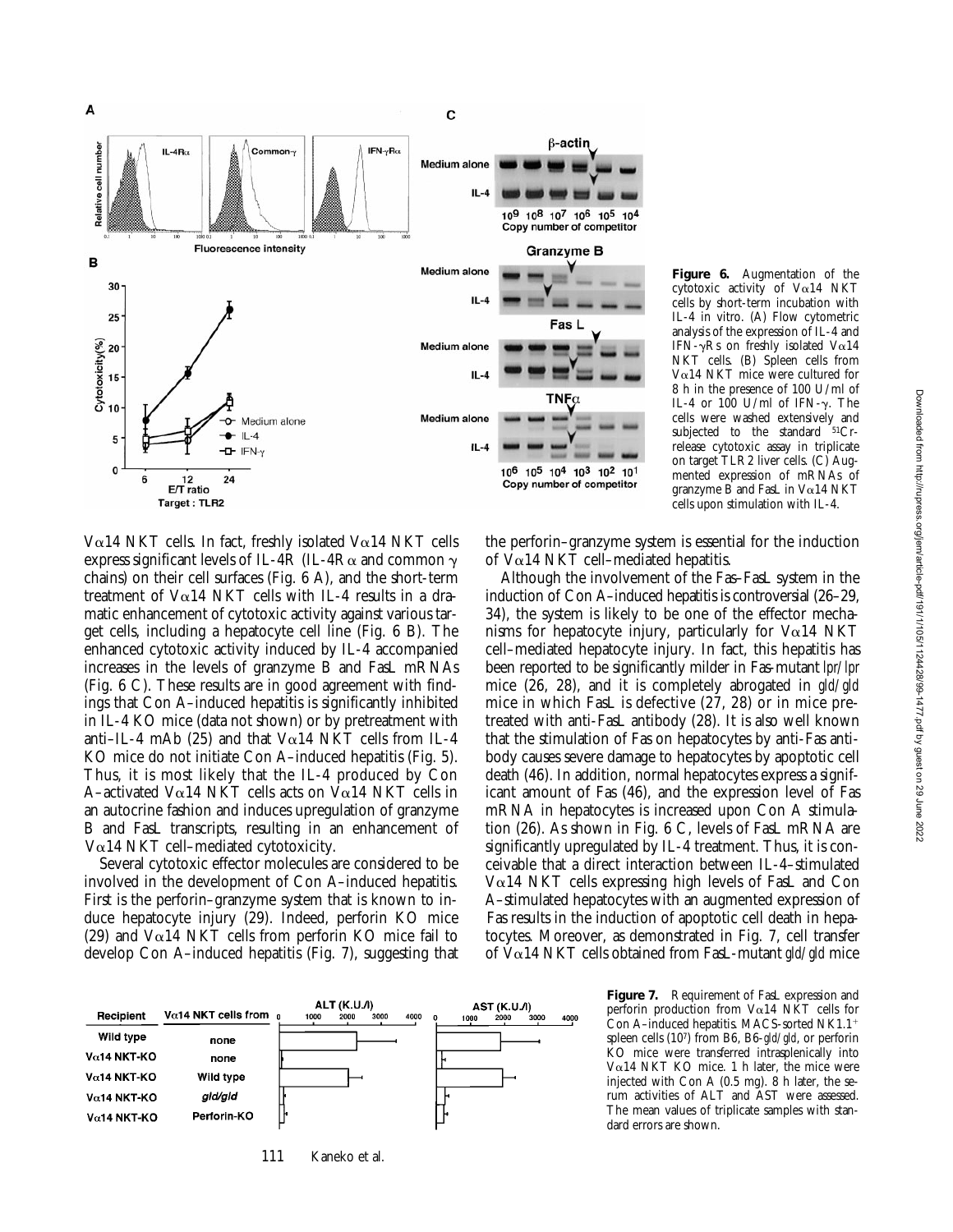

**Figure 6.** Augmentation of the cytotoxic activity of Va14 NKT cells by short-term incubation with IL-4 in vitro. (A) Flow cytometric analysis of the expression of IL-4 and IFN- $\gamma$ Rs on freshly isolated V $\alpha$ 14 NKT cells. (B) Spleen cells from V $\alpha$ 14 NKT mice were cultured for 8 h in the presence of 100 U/ml of IL-4 or  $100$  U/ml of IFN- $\gamma$ . The cells were washed extensively and subjected to the standard  $51Cr$ release cytotoxic assay in triplicate on target TLR2 liver cells. (C) Augmented expression of mRNAs of granzyme  $\overline{B}$  and FasL in V $\alpha$ 14 NKT cells upon stimulation with IL-4.

V $\alpha$ 14 NKT cells. In fact, freshly isolated V $\alpha$ 14 NKT cells express significant levels of IL-4R (IL-4R $\alpha$  and common  $\gamma$ chains) on their cell surfaces (Fig. 6 A), and the short-term treatment of  $V\alpha$ 14 NKT cells with IL-4 results in a dramatic enhancement of cytotoxic activity against various target cells, including a hepatocyte cell line (Fig. 6 B). The enhanced cytotoxic activity induced by IL-4 accompanied increases in the levels of granzyme B and FasL mRNAs (Fig. 6 C). These results are in good agreement with findings that Con A–induced hepatitis is significantly inhibited in IL-4 KO mice (data not shown) or by pretreatment with anti–IL-4 mAb (25) and that  $Va14$  NKT cells from IL-4 KO mice do not initiate Con A–induced hepatitis (Fig. 5). Thus, it is most likely that the IL-4 produced by Con A–activated V $\alpha$ 14 NKT cells acts on V $\alpha$ 14 NKT cells in an autocrine fashion and induces upregulation of granzyme B and FasL transcripts, resulting in an enhancement of  $V\alpha$ 14 NKT cell–mediated cytotoxicity.

Several cytotoxic effector molecules are considered to be involved in the development of Con A–induced hepatitis. First is the perforin–granzyme system that is known to induce hepatocyte injury (29). Indeed, perforin KO mice (29) and  $V\alpha$ 14 NKT cells from perforin KO mice fail to develop Con A–induced hepatitis (Fig. 7), suggesting that the perforin–granzyme system is essential for the induction of  $Va14$  NKT cell–mediated hepatitis.

Although the involvement of the Fas–FasL system in the induction of Con A–induced hepatitis is controversial (26–29, 34), the system is likely to be one of the effector mechanisms for hepatocyte injury, particularly for  $V\alpha$ 14 NKT cell–mediated hepatocyte injury. In fact, this hepatitis has been reported to be significantly milder in Fas-mutant *lpr/lpr* mice (26, 28), and it is completely abrogated in *gld/gld* mice in which FasL is defective (27, 28) or in mice pretreated with anti-FasL antibody (28). It is also well known that the stimulation of Fas on hepatocytes by anti-Fas antibody causes severe damage to hepatocytes by apoptotic cell death (46). In addition, normal hepatocytes express a significant amount of Fas (46), and the expression level of Fas mRNA in hepatocytes is increased upon Con A stimulation (26). As shown in Fig. 6 C, levels of FasL mRNA are significantly upregulated by IL-4 treatment. Thus, it is conceivable that a direct interaction between IL-4–stimulated  $V\alpha$ 14 NKT cells expressing high levels of FasL and Con A–stimulated hepatocytes with an augmented expression of Fas results in the induction of apoptotic cell death in hepatocytes. Moreover, as demonstrated in Fig. 7, cell transfer of Va14 NKT cells obtained from FasL-mutant *gld/gld* mice



111 Kaneko et al.

**Figure 7.** Requirement of FasL expression and perforin production from V $\alpha$ 14 NKT cells for Con A-induced hepatitis. MACS-sorted NK1.1<sup>+</sup> spleen cells (107) from B6, B6-*gld/gld*, or perforin KO mice were transferred intrasplenically into V $\alpha$ 14 NKT KO mice. 1 h later, the mice were injected with Con A (0.5 mg). 8 h later, the serum activities of ALT and AST were assessed. The mean values of triplicate samples with standard errors are shown.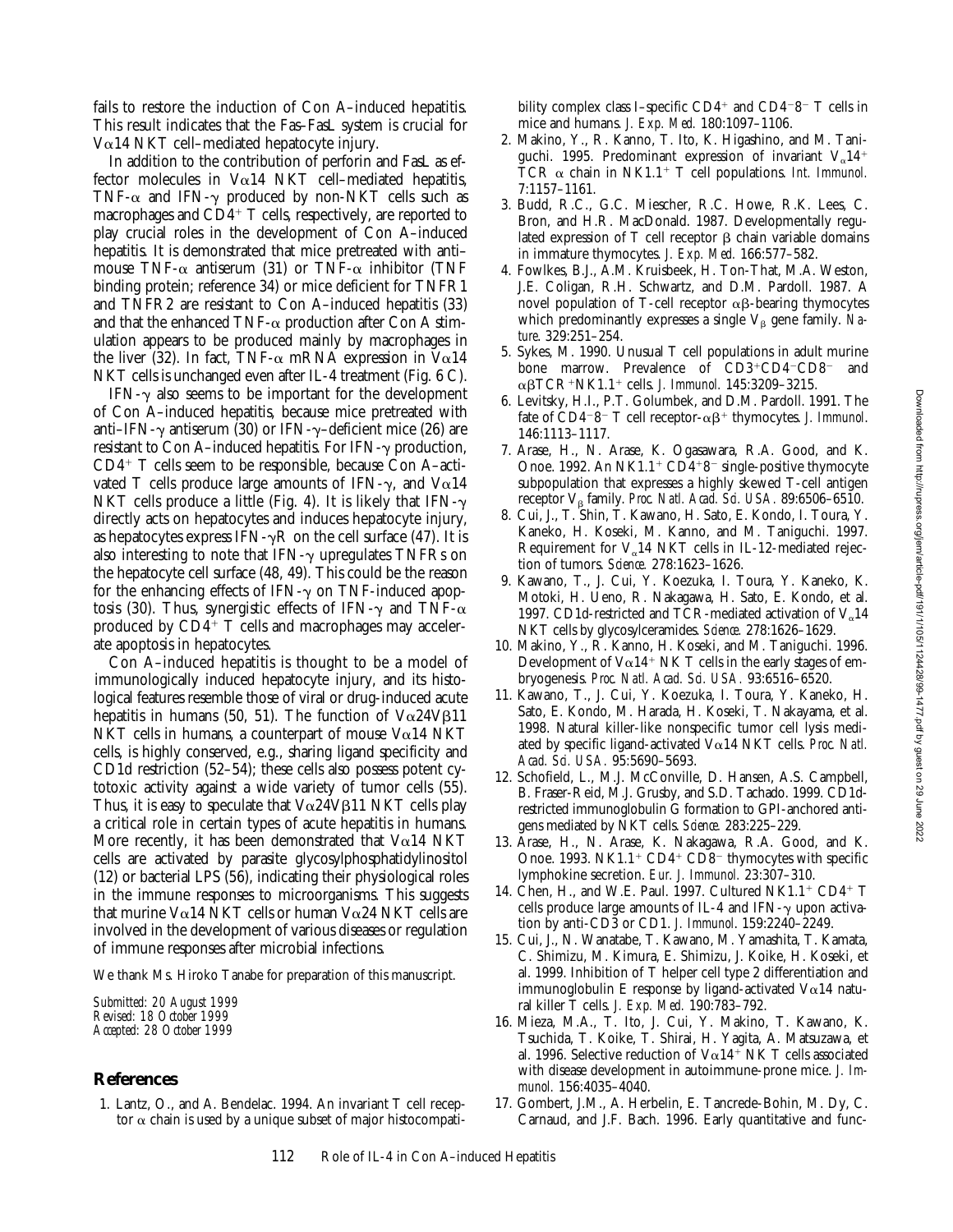fails to restore the induction of Con A–induced hepatitis. This result indicates that the Fas–FasL system is crucial for V $\alpha$ 14 NKT cell–mediated hepatocyte injury.

In addition to the contribution of perforin and FasL as effector molecules in  $Va14$  NKT cell–mediated hepatitis, TNF- $\alpha$  and IFN- $\gamma$  produced by non-NKT cells such as macrophages and  $CD<sup>4+</sup>$  T cells, respectively, are reported to play crucial roles in the development of Con A–induced hepatitis. It is demonstrated that mice pretreated with anti– mouse TNF- $\alpha$  antiserum (31) or TNF- $\alpha$  inhibitor (TNF binding protein; reference 34) or mice deficient for TNFR1 and TNFR2 are resistant to Con A–induced hepatitis (33) and that the enhanced TNF- $\alpha$  production after Con A stimulation appears to be produced mainly by macrophages in the liver (32). In fact, TNF- $\alpha$  mRNA expression in V $\alpha$ 14 NKT cells is unchanged even after IL-4 treatment (Fig. 6 C).

 $IFN-\gamma$  also seems to be important for the development of Con A–induced hepatitis, because mice pretreated with anti–IFN- $\gamma$  antiserum (30) or IFN- $\gamma$ –deficient mice (26) are resistant to Con A-induced hepatitis. For IFN- $\gamma$  production,  $CD4^+$  T cells seem to be responsible, because Con A-activated T cells produce large amounts of IFN- $\gamma$ , and V $\alpha$ 14 NKT cells produce a little (Fig. 4). It is likely that  $IFN-\gamma$ directly acts on hepatocytes and induces hepatocyte injury, as hepatocytes express IFN- $\gamma$ R on the cell surface (47). It is also interesting to note that IFN- $\gamma$  upregulates TNFRs on the hepatocyte cell surface (48, 49). This could be the reason for the enhancing effects of IFN- $\gamma$  on TNF-induced apoptosis (30). Thus, synergistic effects of IFN- $\gamma$  and TNF- $\alpha$ produced by  $CD4^+$  T cells and macrophages may accelerate apoptosis in hepatocytes.

Con A–induced hepatitis is thought to be a model of immunologically induced hepatocyte injury, and its histological features resemble those of viral or drug-induced acute hepatitis in humans (50, 51). The function of  $V\alpha$ 24V $\beta$ 11 NKT cells in humans, a counterpart of mouse  $Va14$  NKT cells, is highly conserved, e.g., sharing ligand specificity and CD1d restriction (52–54); these cells also possess potent cytotoxic activity against a wide variety of tumor cells (55). Thus, it is easy to speculate that  $V\alpha24V\beta11$  NKT cells play a critical role in certain types of acute hepatitis in humans. More recently, it has been demonstrated that  $Va14$  NKT cells are activated by parasite glycosylphosphatidylinositol (12) or bacterial LPS (56), indicating their physiological roles in the immune responses to microorganisms. This suggests that murine V $\alpha$ 14 NKT cells or human V $\alpha$ 24 NKT cells are involved in the development of various diseases or regulation of immune responses after microbial infections.

We thank Ms. Hiroko Tanabe for preparation of this manuscript.

*Submitted: 20 August 1999 Revised: 18 October 1999 Accepted: 28 October 1999*

### **References**

1. Lantz, O., and A. Bendelac. 1994. An invariant T cell receptor  $\alpha$  chain is used by a unique subset of major histocompatibility complex class I–specific  $CD4^+$  and  $CD4^-8^-$  T cells in mice and humans. *J. Exp. Med.* 180:1097–1106.

- 2. Makino, Y., R. Kanno, T. Ito, K. Higashino, and M. Taniguchi. 1995. Predominant expression of invariant  $V_0$ 14<sup>+</sup> TCR  $\alpha$  chain in NK1.1<sup>+</sup> T cell populations. *Int. Immunol.* 7:1157–1161.
- 3. Budd, R.C., G.C. Miescher, R.C. Howe, R.K. Lees, C. Bron, and H.R. MacDonald. 1987. Developmentally regulated expression of  $T$  cell receptor  $\beta$  chain variable domains in immature thymocytes. *J. Exp. Med.* 166:577–582.
- 4. Fowlkes, B.J., A.M. Kruisbeek, H. Ton-That, M.A. Weston, J.E. Coligan, R.H. Schwartz, and D.M. Pardoll. 1987. A novel population of T-cell receptor  $\alpha\beta$ -bearing thymocytes which predominantly expresses a single V<sub>B</sub> gene family. *Nature*. 329:251–254.
- 5. Sykes, M. 1990. Unusual T cell populations in adult murine bone marrow. Prevalence of CD3+CD4-CD8- and  $\alpha\beta$ TCR<sup>+</sup>NK1.1<sup>+</sup> cells. *J. Immunol.* 145:3209-3215.
- 6. Levitsky, H.I., P.T. Golumbek, and D.M. Pardoll. 1991. The fate of CD4<sup>-8-</sup> T cell receptor- $\alpha\beta$ <sup>+</sup> thymocytes. *J. Immunol*. 146:1113–1117.
- 7. Arase, H., N. Arase, K. Ogasawara, R.A. Good, and K. Onoe. 1992. An NK1.1<sup>+</sup> CD4<sup>+8-</sup> single-positive thymocyte subpopulation that expresses a highly skewed T-cell antigen receptor V<sub>B</sub> family. *Proc. Natl. Acad. Sci. USA.* 89:6506–6510.
- 8. Cui, J., T. Shin, T. Kawano, H. Sato, E. Kondo, I. Toura, Y. Kaneko, H. Koseki, M. Kanno, and M. Taniguchi. 1997. Requirement for  $V_{\alpha}$ 14 NKT cells in IL-12-mediated rejection of tumors. *Science.* 278:1623–1626.
- 9. Kawano, T., J. Cui, Y. Koezuka, I. Toura, Y. Kaneko, K. Motoki, H. Ueno, R. Nakagawa, H. Sato, E. Kondo, et al. 1997. CD1d-restricted and TCR-mediated activation of  $V_a14$ NKT cells by glycosylceramides. *Science.* 278:1626–1629.
- 10. Makino, Y., R. Kanno, H. Koseki, and M. Taniguchi. 1996. Development of  $V\alpha$ 14<sup>+</sup> NK T cells in the early stages of embryogenesis. *Proc. Natl. Acad. Sci. USA.* 93:6516–6520.
- 11. Kawano, T., J. Cui, Y. Koezuka, I. Toura, Y. Kaneko, H. Sato, E. Kondo, M. Harada, H. Koseki, T. Nakayama, et al. 1998. Natural killer-like nonspecific tumor cell lysis mediated by specific ligand-activated Va14 NKT cells. *Proc. Natl. Acad. Sci. USA.* 95:5690–5693.
- 12. Schofield, L., M.J. McConville, D. Hansen, A.S. Campbell, B. Fraser-Reid, M.J. Grusby, and S.D. Tachado. 1999. CD1drestricted immunoglobulin G formation to GPI-anchored antigens mediated by NKT cells. *Science.* 283:225–229.
- 13. Arase, H., N. Arase, K. Nakagawa, R.A. Good, and K. Onoe. 1993. NK1.1<sup>+</sup> CD4<sup>+</sup> CD8<sup>-</sup> thymocytes with specific lymphokine secretion. *Eur. J. Immunol.* 23:307–310.
- 14. Chen, H., and W.E. Paul. 1997. Cultured NK1.1+ CD4+ T cells produce large amounts of IL-4 and IFN- $\gamma$  upon activation by anti-CD3 or CD1. *J. Immunol*. 159:2240–2249.
- 15. Cui, J., N. Wanatabe, T. Kawano, M. Yamashita, T. Kamata, C. Shimizu, M. Kimura, E. Shimizu, J. Koike, H. Koseki, et al. 1999. Inhibition of T helper cell type 2 differentiation and immunoglobulin E response by ligand-activated  $V\alpha$ 14 natural killer T cells. *J. Exp. Med.* 190:783–792.
- 16. Mieza, M.A., T. Ito, J. Cui, Y. Makino, T. Kawano, K. Tsuchida, T. Koike, T. Shirai, H. Yagita, A. Matsuzawa, et al. 1996. Selective reduction of  $V\alpha$ 14<sup>+</sup> NK T cells associated with disease development in autoimmune-prone mice. *J. Immunol.* 156:4035–4040.
- 17. Gombert, J.M., A. Herbelin, E. Tancrede-Bohin, M. Dy, C. Carnaud, and J.F. Bach. 1996. Early quantitative and func-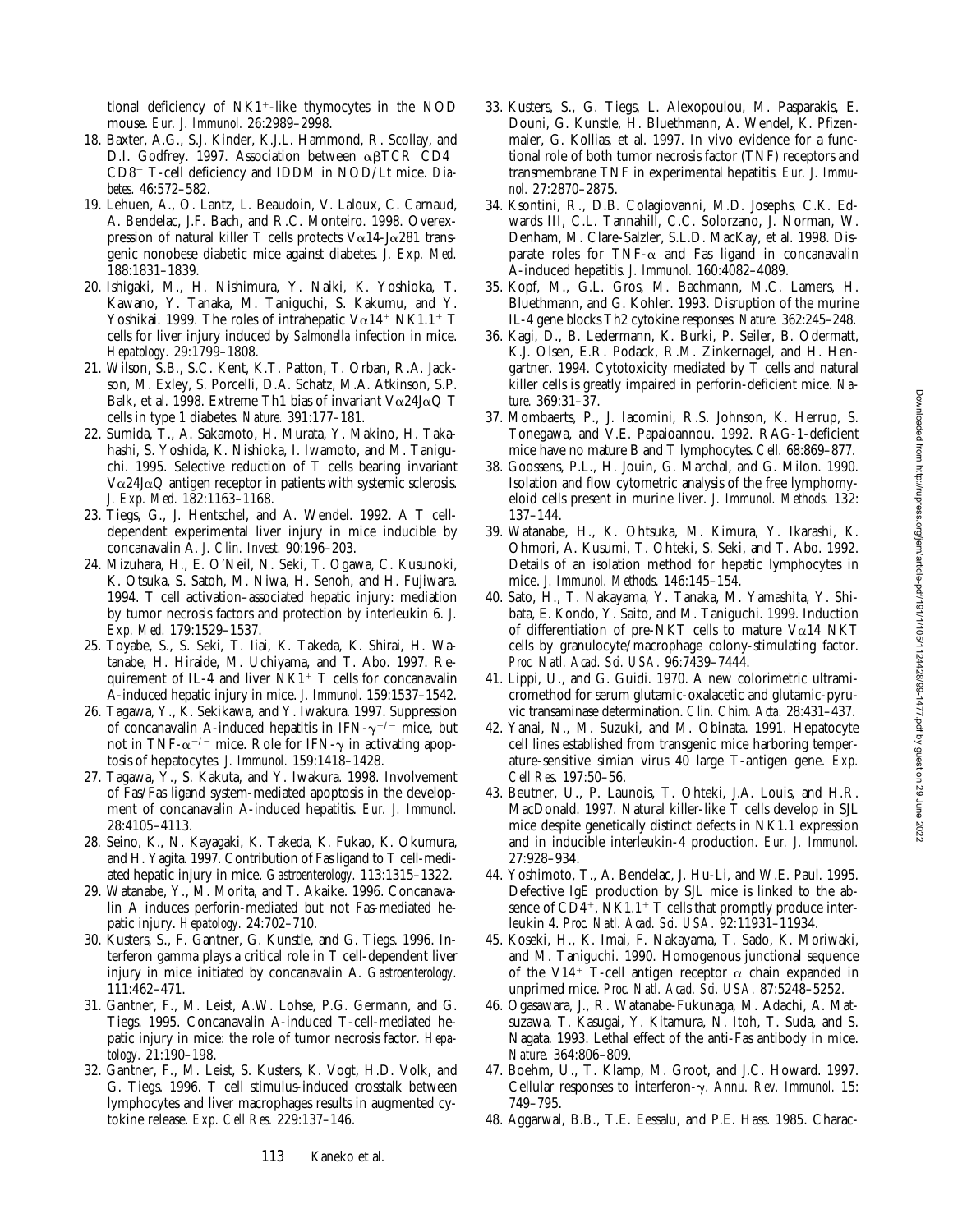tional deficiency of  $N<sub>K1</sub><sup>+</sup>$ -like thymocytes in the NOD mouse. *Eur. J. Immunol.* 26:2989–2998.

- 18. Baxter, A.G., S.J. Kinder, K.J.L. Hammond, R. Scollay, and D.I. Godfrey. 1997. Association between  $\alpha\beta TCR^+CD4^-$ CD8<sup>-</sup> T-cell deficiency and IDDM in NOD/Lt mice. Dia*betes.* 46:572–582.
- 19. Lehuen, A., O. Lantz, L. Beaudoin, V. Laloux, C. Carnaud, A. Bendelac, J.F. Bach, and R.C. Monteiro. 1998. Overexpression of natural killer T cells protects  $V \alpha 14$ -J $\alpha 281$  transgenic nonobese diabetic mice against diabetes. *J. Exp. Med.* 188:1831–1839.
- 20. Ishigaki, M., H. Nishimura, Y. Naiki, K. Yoshioka, T. Kawano, Y. Tanaka, M. Taniguchi, S. Kakumu, and Y. Yoshikai. 1999. The roles of intrahepatic  $V\alpha$ 14<sup>+</sup> NK1.1<sup>+</sup> T cells for liver injury induced by *Salmonella* infection in mice. *Hepatology.* 29:1799–1808.
- 21. Wilson, S.B., S.C. Kent, K.T. Patton, T. Orban, R.A. Jackson, M. Exley, S. Porcelli, D.A. Schatz, M.A. Atkinson, S.P. Balk, et al. 1998. Extreme Th1 bias of invariant  $V\alpha$ 24J $\alpha$ Q T cells in type 1 diabetes. *Nature.* 391:177–181.
- 22. Sumida, T., A. Sakamoto, H. Murata, Y. Makino, H. Takahashi, S. Yoshida, K. Nishioka, I. Iwamoto, and M. Taniguchi. 1995. Selective reduction of T cells bearing invariant  $V\alpha$ 24J $\alpha$ Q antigen receptor in patients with systemic sclerosis. *J. Exp. Med.* 182:1163–1168.
- 23. Tiegs, G., J. Hentschel, and A. Wendel. 1992. A T celldependent experimental liver injury in mice inducible by concanavalin A. *J. Clin. Invest.* 90:196–203.
- 24. Mizuhara, H., E. O'Neil, N. Seki, T. Ogawa, C. Kusunoki, K. Otsuka, S. Satoh, M. Niwa, H. Senoh, and H. Fujiwara. 1994. T cell activation–associated hepatic injury: mediation by tumor necrosis factors and protection by interleukin 6. *J. Exp. Med.* 179:1529–1537.
- 25. Toyabe, S., S. Seki, T. Iiai, K. Takeda, K. Shirai, H. Watanabe, H. Hiraide, M. Uchiyama, and T. Abo. 1997. Requirement of IL-4 and liver  $N<sub>K1</sub> + T$  cells for concanavalin A-induced hepatic injury in mice. *J. Immunol.* 159:1537–1542.
- 26. Tagawa, Y., K. Sekikawa, and Y. Iwakura. 1997. Suppression of concanavalin A-induced hepatitis in IFN- $\gamma^{-/-}$  mice, but not in TNF- $\alpha^{-/-}$  mice. Role for IFN- $\gamma$  in activating apoptosis of hepatocytes. *J. Immunol.* 159:1418–1428.
- 27. Tagawa, Y., S. Kakuta, and Y. Iwakura. 1998. Involvement of Fas/Fas ligand system-mediated apoptosis in the development of concanavalin A-induced hepatitis. *Eur. J. Immunol.* 28:4105–4113.
- 28. Seino, K., N. Kayagaki, K. Takeda, K. Fukao, K. Okumura, and H. Yagita. 1997. Contribution of Fas ligand to T cell-mediated hepatic injury in mice. *Gastroenterology.* 113:1315–1322.
- 29. Watanabe, Y., M. Morita, and T. Akaike. 1996. Concanavalin A induces perforin-mediated but not Fas-mediated hepatic injury. *Hepatology.* 24:702–710.
- 30. Kusters, S., F. Gantner, G. Kunstle, and G. Tiegs. 1996. Interferon gamma plays a critical role in T cell-dependent liver injury in mice initiated by concanavalin A. *Gastroenterology.* 111:462–471.
- 31. Gantner, F., M. Leist, A.W. Lohse, P.G. Germann, and G. Tiegs. 1995. Concanavalin A-induced T-cell-mediated hepatic injury in mice: the role of tumor necrosis factor. *Hepatology.* 21:190–198.
- 32. Gantner, F., M. Leist, S. Kusters, K. Vogt, H.D. Volk, and G. Tiegs. 1996. T cell stimulus-induced crosstalk between lymphocytes and liver macrophages results in augmented cytokine release. *Exp. Cell Res.* 229:137–146.
- 33. Kusters, S., G. Tiegs, L. Alexopoulou, M. Pasparakis, E. Douni, G. Kunstle, H. Bluethmann, A. Wendel, K. Pfizenmaier, G. Kollias, et al. 1997. In vivo evidence for a functional role of both tumor necrosis factor (TNF) receptors and transmembrane TNF in experimental hepatitis. *Eur. J. Immunol.* 27:2870–2875.
- 34. Ksontini, R., D.B. Colagiovanni, M.D. Josephs, C.K. Edwards III, C.L. Tannahill, C.C. Solorzano, J. Norman, W. Denham, M. Clare-Salzler, S.L.D. MacKay, et al. 1998. Disparate roles for TNF- $\alpha$  and Fas ligand in concanavalin A-induced hepatitis. *J. Immunol.* 160:4082–4089.
- 35. Kopf, M., G.L. Gros, M. Bachmann, M.C. Lamers, H. Bluethmann, and G. Kohler. 1993. Disruption of the murine IL-4 gene blocks Th2 cytokine responses. *Nature.* 362:245–248.
- 36. Kagi, D., B. Ledermann, K. Burki, P. Seiler, B. Odermatt, K.J. Olsen, E.R. Podack, R.M. Zinkernagel, and H. Hengartner. 1994. Cytotoxicity mediated by T cells and natural killer cells is greatly impaired in perforin-deficient mice. *Nature.* 369:31–37.
- 37. Mombaerts, P., J. Iacomini, R.S. Johnson, K. Herrup, S. Tonegawa, and V.E. Papaioannou. 1992. RAG-1-deficient mice have no mature B and T lymphocytes. *Cell.* 68:869–877.
- 38. Goossens, P.L., H. Jouin, G. Marchal, and G. Milon. 1990. Isolation and flow cytometric analysis of the free lymphomyeloid cells present in murine liver. *J. Immunol. Methods.* 132: 137–144.
- 39. Watanabe, H., K. Ohtsuka, M. Kimura, Y. Ikarashi, K. Ohmori, A. Kusumi, T. Ohteki, S. Seki, and T. Abo. 1992. Details of an isolation method for hepatic lymphocytes in mice. *J. Immunol. Methods.* 146:145–154.
- 40. Sato, H., T. Nakayama, Y. Tanaka, M. Yamashita, Y. Shibata, E. Kondo, Y. Saito, and M. Taniguchi. 1999. Induction of differentiation of pre-NKT cells to mature  $Va14$  NKT cells by granulocyte/macrophage colony-stimulating factor. *Proc. Natl. Acad. Sci. USA.* 96:7439–7444.
- 41. Lippi, U., and G. Guidi. 1970. A new colorimetric ultramicromethod for serum glutamic-oxalacetic and glutamic-pyruvic transaminase determination. *Clin. Chim. Acta.* 28:431–437.
- 42. Yanai, N., M. Suzuki, and M. Obinata. 1991. Hepatocyte cell lines established from transgenic mice harboring temperature-sensitive simian virus 40 large T-antigen gene. *Exp. Cell Res.* 197:50–56.
- 43. Beutner, U., P. Launois, T. Ohteki, J.A. Louis, and H.R. MacDonald. 1997. Natural killer-like T cells develop in SJL mice despite genetically distinct defects in NK1.1 expression and in inducible interleukin-4 production. *Eur. J. Immunol.* 27:928–934.
- 44. Yoshimoto, T., A. Bendelac, J. Hu-Li, and W.E. Paul. 1995. Defective IgE production by SJL mice is linked to the absence of  $CD4^+$ , NK1.1<sup>+</sup> T cells that promptly produce interleukin 4. *Proc. Natl. Acad. Sci. USA.* 92:11931–11934.
- 45. Koseki, H., K. Imai, F. Nakayama, T. Sado, K. Moriwaki, and M. Taniguchi. 1990. Homogenous junctional sequence of the V14<sup>+</sup> T-cell antigen receptor  $\alpha$  chain expanded in unprimed mice. *Proc. Natl. Acad. Sci. USA.* 87:5248–5252.
- 46. Ogasawara, J., R. Watanabe-Fukunaga, M. Adachi, A. Matsuzawa, T. Kasugai, Y. Kitamura, N. Itoh, T. Suda, and S. Nagata. 1993. Lethal effect of the anti-Fas antibody in mice. *Nature.* 364:806–809.
- 47. Boehm, U., T. Klamp, M. Groot, and J.C. Howard. 1997. Cellular responses to interferon-g. *Annu. Rev. Immunol.* 15: 749–795.
- 48. Aggarwal, B.B., T.E. Eessalu, and P.E. Hass. 1985. Charac-